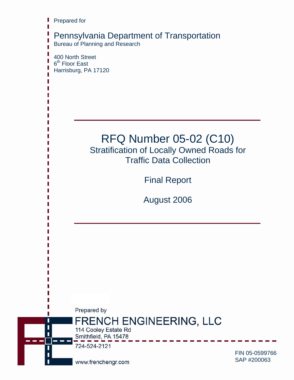Prepared for

Pennsylvania Department of Transportation Bureau of Planning and Research

400 North Street 6<sup>th</sup> Floor East Harrisburg, PA 17120

# RFQ Number 05-02 (C10) Stratification of Locally Owned Roads for Traffic Data Collection

Final Report

August 2006

Prepared by

П I

ī

ı

FRENCH ENGINEERING, LLC

114 Cooley Estate Rd Smithfield, PA 15478 724-524-2121

www.frenchengr.com

FIN 05-0599766 SAP #200063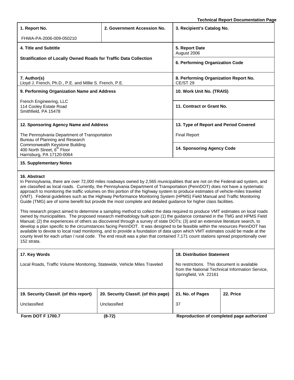**Technical Report Documentation Page**

| 1. Report No.                                                                                                                                                                                                                                                                                                                                                                                                                                                                                                                                                                                                                                                                                                                                                                                                                                                                                                                                                                                                                                                                                                                                                                                                                                                                                                                                                                                                                                                                               | 2. Government Accession No.   | 3. Recipient's Catalog No.                        |  |  |
|---------------------------------------------------------------------------------------------------------------------------------------------------------------------------------------------------------------------------------------------------------------------------------------------------------------------------------------------------------------------------------------------------------------------------------------------------------------------------------------------------------------------------------------------------------------------------------------------------------------------------------------------------------------------------------------------------------------------------------------------------------------------------------------------------------------------------------------------------------------------------------------------------------------------------------------------------------------------------------------------------------------------------------------------------------------------------------------------------------------------------------------------------------------------------------------------------------------------------------------------------------------------------------------------------------------------------------------------------------------------------------------------------------------------------------------------------------------------------------------------|-------------------------------|---------------------------------------------------|--|--|
| FHWA-PA-2006-009-050210                                                                                                                                                                                                                                                                                                                                                                                                                                                                                                                                                                                                                                                                                                                                                                                                                                                                                                                                                                                                                                                                                                                                                                                                                                                                                                                                                                                                                                                                     |                               |                                                   |  |  |
| 4. Title and Subtitle                                                                                                                                                                                                                                                                                                                                                                                                                                                                                                                                                                                                                                                                                                                                                                                                                                                                                                                                                                                                                                                                                                                                                                                                                                                                                                                                                                                                                                                                       | 5. Report Date<br>August 2006 |                                                   |  |  |
| <b>Stratification of Locally Owned Roads for Traffic Data Collection</b>                                                                                                                                                                                                                                                                                                                                                                                                                                                                                                                                                                                                                                                                                                                                                                                                                                                                                                                                                                                                                                                                                                                                                                                                                                                                                                                                                                                                                    |                               | 6. Performing Organization Code                   |  |  |
| 7. Author(s)<br>Lloyd J. French, Ph.D., P.E. and Millie S. French, P.E.                                                                                                                                                                                                                                                                                                                                                                                                                                                                                                                                                                                                                                                                                                                                                                                                                                                                                                                                                                                                                                                                                                                                                                                                                                                                                                                                                                                                                     |                               | 8. Performing Organization Report No.<br>CE/ST 29 |  |  |
| 9. Performing Organization Name and Address                                                                                                                                                                                                                                                                                                                                                                                                                                                                                                                                                                                                                                                                                                                                                                                                                                                                                                                                                                                                                                                                                                                                                                                                                                                                                                                                                                                                                                                 |                               | 10. Work Unit No. (TRAIS)                         |  |  |
| French Engineering, LLC<br>114 Cooley Estate Road<br>Smithfield, PA 15478                                                                                                                                                                                                                                                                                                                                                                                                                                                                                                                                                                                                                                                                                                                                                                                                                                                                                                                                                                                                                                                                                                                                                                                                                                                                                                                                                                                                                   |                               | 11. Contract or Grant No.                         |  |  |
| 12. Sponsoring Agency Name and Address                                                                                                                                                                                                                                                                                                                                                                                                                                                                                                                                                                                                                                                                                                                                                                                                                                                                                                                                                                                                                                                                                                                                                                                                                                                                                                                                                                                                                                                      |                               | 13. Type of Report and Period Covered             |  |  |
| The Pennsylvania Department of Transportation<br>Bureau of Planning and Research                                                                                                                                                                                                                                                                                                                                                                                                                                                                                                                                                                                                                                                                                                                                                                                                                                                                                                                                                                                                                                                                                                                                                                                                                                                                                                                                                                                                            |                               | <b>Final Report</b>                               |  |  |
| Commonwealth Keystone Building<br>400 North Street, 6 <sup>th</sup> Floor<br>Harrisburg, PA 17120-0064                                                                                                                                                                                                                                                                                                                                                                                                                                                                                                                                                                                                                                                                                                                                                                                                                                                                                                                                                                                                                                                                                                                                                                                                                                                                                                                                                                                      |                               | 14. Sponsoring Agency Code                        |  |  |
| 15. Supplementary Notes                                                                                                                                                                                                                                                                                                                                                                                                                                                                                                                                                                                                                                                                                                                                                                                                                                                                                                                                                                                                                                                                                                                                                                                                                                                                                                                                                                                                                                                                     |                               |                                                   |  |  |
| 16. Abstract<br>In Pennsylvania, there are over 72,000 miles roadways owned by 2,565 municipalities that are not on the Federal-aid system, and<br>are classified as local roads. Currently, the Pennsylvania Department of Transportation (PennDOT) does not have a systematic<br>approach to monitoring the traffic volumes on this portion of the highway system to produce estimates of vehicle-miles traveled<br>(VMT). Federal guidelines such as the Highway Performance Monitoring System (HPMS) Field Manual and Traffic Monitoring<br>Guide (TMG) are of some benefit but provide the most complete and detailed guidance for higher class facilities.<br>This research project aimed to determine a sampling method to collect the data required to produce VMT estimates on local roads<br>owned by municipalities. The proposed research methodology built upon (1) the guidance contained in the TMG and HPMS Field<br>Manual; (2) the experiences of others as discovered through a survey of state DOTs; (3) and an extensive literature search, to<br>develop a plan specific to the circumstances facing PennDOT. It was designed to be feasible within the resources PennDOT has<br>available to devote to local road monitoring, and to provide a foundation of data upon which VMT estimates could be made at the<br>county level for each urban / rural code. The end result was a plan that contained 7,171 count stations spread proportionally over<br>152 strata. |                               |                                                   |  |  |

| 17. Key Words                                                             |                                      | <b>18. Distribution Statement</b>                                                                                        |                                           |
|---------------------------------------------------------------------------|--------------------------------------|--------------------------------------------------------------------------------------------------------------------------|-------------------------------------------|
| Local Roads, Traffic Volume Monitoring, Statewide, Vehicle Miles Traveled |                                      | No restrictions. This document is available<br>from the National Technical Information Service,<br>Springfield, VA 22161 |                                           |
| 19. Security Classif. (of this report)                                    | 20. Security Classif. (of this page) | 21. No. of Pages                                                                                                         | 22. Price                                 |
| Unclassified                                                              | Unclassified                         | 37                                                                                                                       |                                           |
| <b>Form DOT F 1700.7</b><br>$(8-72)$                                      |                                      |                                                                                                                          | Reproduction of completed page authorized |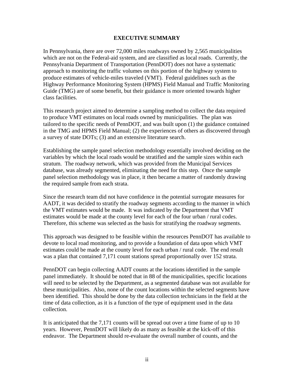#### **EXECUTIVE SUMMARY**

In Pennsylvania, there are over 72,000 miles roadways owned by 2,565 municipalities which are not on the Federal-aid system, and are classified as local roads. Currently, the Pennsylvania Department of Transportation (PennDOT) does not have a systematic approach to monitoring the traffic volumes on this portion of the highway system to produce estimates of vehicle-miles traveled (VMT). Federal guidelines such as the Highway Performance Monitoring System (HPMS) Field Manual and Traffic Monitoring Guide (TMG) are of some benefit, but their guidance is more oriented towards higher class facilities.

This research project aimed to determine a sampling method to collect the data required to produce VMT estimates on local roads owned by municipalities. The plan was tailored to the specific needs of PennDOT, and was built upon (1) the guidance contained in the TMG and HPMS Field Manual; (2) the experiences of others as discovered through a survey of state DOTs; (3) and an extensive literature search.

Establishing the sample panel selection methodology essentially involved deciding on the variables by which the local roads would be stratified and the sample sizes within each stratum. The roadway network, which was provided from the Municipal Services database, was already segmented, eliminating the need for this step. Once the sample panel selection methodology was in place, it then became a matter of randomly drawing the required sample from each strata.

Since the research team did not have confidence in the potential surrogate measures for AADT, it was decided to stratify the roadway segments according to the manner in which the VMT estimates would be made. It was indicated by the Department that VMT estimates would be made at the county level for each of the four urban / rural codes. Therefore, this scheme was selected as the basis for stratifying the roadway segments.

This approach was designed to be feasible within the resources PennDOT has available to devote to local road monitoring, and to provide a foundation of data upon which VMT estimates could be made at the county level for each urban / rural code. The end result was a plan that contained 7,171 count stations spread proportionally over 152 strata.

PennDOT can begin collecting AADT counts at the locations identified in the sample panel immediately. It should be noted that in 88 of the municipalities, specific locations will need to be selected by the Department, as a segmented database was not available for these municipalities. Also, none of the count locations within the selected segments have been identified. This should be done by the data collection technicians in the field at the time of data collection, as it is a function of the type of equipment used in the data collection.

It is anticipated that the 7,171 counts will be spread out over a time frame of up to 10 years. However, PennDOT will likely do as many as feasible at the kick-off of this endeavor. The Department should re-evaluate the overall number of counts, and the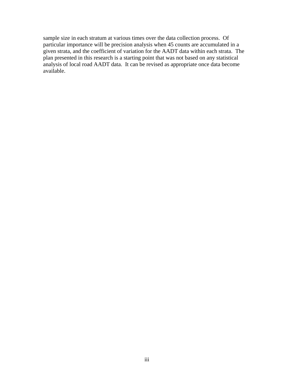sample size in each stratum at various times over the data collection process. Of particular importance will be precision analysis when 45 counts are accumulated in a given strata, and the coefficient of variation for the AADT data within each strata. The plan presented in this research is a starting point that was not based on any statistical analysis of local road AADT data. It can be revised as appropriate once data become available.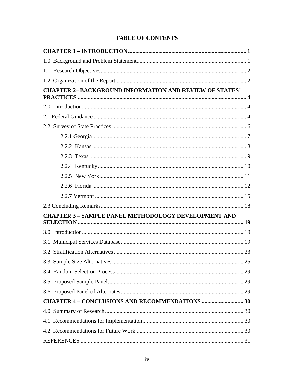# **TABLE OF CONTENTS**

| <b>CHAPTER 2- BACKGROUND INFORMATION AND REVIEW OF STATES'</b> |    |
|----------------------------------------------------------------|----|
|                                                                |    |
|                                                                |    |
|                                                                |    |
|                                                                |    |
|                                                                |    |
|                                                                |    |
|                                                                |    |
|                                                                |    |
|                                                                |    |
|                                                                |    |
|                                                                |    |
|                                                                |    |
| <b>CHAPTER 3 - SAMPLE PANEL METHODOLOGY DEVELOPMENT AND</b>    |    |
|                                                                |    |
|                                                                |    |
|                                                                |    |
|                                                                |    |
|                                                                |    |
|                                                                |    |
|                                                                |    |
|                                                                |    |
|                                                                |    |
|                                                                |    |
|                                                                |    |
|                                                                |    |
|                                                                | 31 |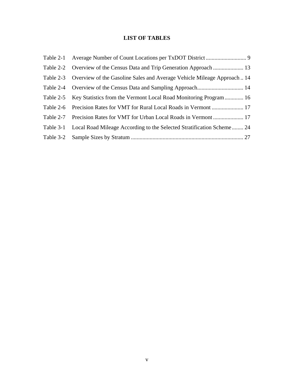# **LIST OF TABLES**

| Table 2-3 Overview of the Gasoline Sales and Average Vehicle Mileage Approach14 |
|---------------------------------------------------------------------------------|
|                                                                                 |
| Table 2-5 Key Statistics from the Vermont Local Road Monitoring Program  16     |
|                                                                                 |
| Table 2-7 Precision Rates for VMT for Urban Local Roads in Vermont  17          |
| Table 3-1 Local Road Mileage According to the Selected Stratification Scheme 24 |
|                                                                                 |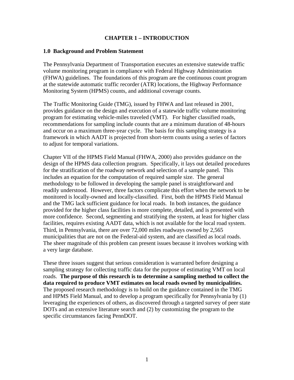#### **CHAPTER 1 – INTRODUCTION**

#### **1.0 Background and Problem Statement**

The Pennsylvania Department of Transportation executes an extensive statewide traffic volume monitoring program in compliance with Federal Highway Administration (FHWA) guidelines. The foundations of this program are the continuous count program at the statewide automatic traffic recorder (ATR) locations, the Highway Performance Monitoring System (HPMS) counts, and additional coverage counts.

The Traffic Monitoring Guide (TMG), issued by FHWA and last released in 2001, provides guidance on the design and execution of a statewide traffic volume monitoring program for estimating vehicle-miles traveled (VMT). For higher classified roads, recommendations for sampling include counts that are a minimum duration of 48-hours and occur on a maximum three-year cycle. The basis for this sampling strategy is a framework in which AADT is projected from short-term counts using a series of factors to adjust for temporal variations.

Chapter VII of the HPMS Field Manual (FHWA, 2000) also provides guidance on the design of the HPMS data collection program. Specifically, it lays out detailed procedures for the stratification of the roadway network and selection of a sample panel. This includes an equation for the computation of required sample size. The general methodology to be followed in developing the sample panel is straightforward and readily understood. However, three factors complicate this effort when the network to be monitored is locally-owned and locally-classified. First, both the HPMS Field Manual and the TMG lack sufficient guidance for local roads. In both instances, the guidance provided for the higher class facilities is more complete, detailed, and is presented with more confidence. Second, segmenting and stratifying the system, at least for higher class facilities, requires existing AADT data, which is not available for the local road system. Third, in Pennsylvania, there are over 72,000 miles roadways owned by 2,565 municipalities that are not on the Federal-aid system, and are classified as local roads. The sheer magnitude of this problem can present issues because it involves working with a very large database.

These three issues suggest that serious consideration is warranted before designing a sampling strategy for collecting traffic data for the purpose of estimating VMT on local roads. **The purpose of this research is to determine a sampling method to collect the data required to produce VMT estimates on local roads owned by municipalities.**  The proposed research methodology is to build on the guidance contained in the TMG and HPMS Field Manual, and to develop a program specifically for Pennsylvania by (1) leveraging the experiences of others, as discovered through a targeted survey of peer state DOTs and an extensive literature search and (2) by customizing the program to the specific circumstances facing PennDOT.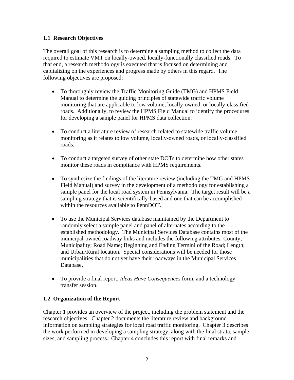#### **1.1 Research Objectives**

The overall goal of this research is to determine a sampling method to collect the data required to estimate VMT on locally-owned, locally-functionally classified roads. To that end, a research methodology is executed that is focused on determining and capitalizing on the experiences and progress made by others in this regard. The following objectives are proposed:

- To thoroughly review the Traffic Monitoring Guide (TMG) and HPMS Field Manual to determine the guiding principles of statewide traffic volume monitoring that are applicable to low volume, locally-owned, or locally-classified roads. Additionally, to review the HPMS Field Manual to identify the procedures for developing a sample panel for HPMS data collection.
- To conduct a literature review of research related to statewide traffic volume monitoring as it relates to low volume, locally-owned roads, or locally-classified roads.
- To conduct a targeted survey of other state DOTs to determine how other states monitor these roads in compliance with HPMS requirements.
- To synthesize the findings of the literature review (including the TMG and HPMS Field Manual) and survey in the development of a methodology for establishing a sample panel for the local road system in Pennsylvania. The target result will be a sampling strategy that is scientifically-based and one that can be accomplished within the resources available to PennDOT.
- To use the Municipal Services database maintained by the Department to randomly select a sample panel and panel of alternates according to the established methodology. The Municipal Services Database contains most of the municipal-owned roadway links and includes the following attributes: County; Municipality; Road Name; Beginning and Ending Termini of the Road; Length; and Urban/Rural location. Special considerations will be needed for those municipalities that do not yet have their roadways in the Municipal Services Database.
- To provide a final report, *Ideas Have Consequences* form, and a technology transfer session.

## **1.2 Organization of the Report**

Chapter 1 provides an overview of the project, including the problem statement and the research objectives. Chapter 2 documents the literature review and background information on sampling strategies for local road traffic monitoring. Chapter 3 describes the work performed in developing a sampling strategy, along with the final strata, sample sizes, and sampling process. Chapter 4 concludes this report with final remarks and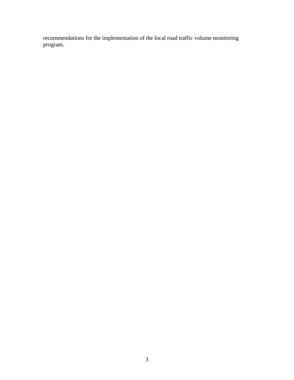recommendations for the implementation of the local road traffic volume monitoring program.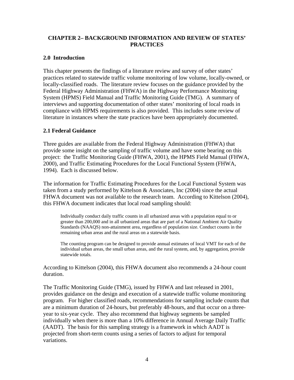## **CHAPTER 2– BACKGROUND INFORMATION AND REVIEW OF STATES' PRACTICES**

# **2.0 Introduction**

This chapter presents the findings of a literature review and survey of other states' practices related to statewide traffic volume monitoring of low volume, locally-owned, or locally-classified roads. The literature review focuses on the guidance provided by the Federal Highway Administration (FHWA) in the Highway Performance Monitoring System (HPMS) Field Manual and Traffic Monitoring Guide (TMG). A summary of interviews and supporting documentation of other states' monitoring of local roads in compliance with HPMS requirements is also provided. This includes some review of literature in instances where the state practices have been appropriately documented.

## **2.1 Federal Guidance**

Three guides are available from the Federal Highway Administration (FHWA) that provide some insight on the sampling of traffic volume and have some bearing on this project: the Traffic Monitoring Guide (FHWA, 2001), the HPMS Field Manual (FHWA, 2000), and Traffic Estimating Procedures for the Local Functional System (FHWA, 1994). Each is discussed below.

The information for Traffic Estimating Procedures for the Local Functional System was taken from a study performed by Kittelson & Associates, Inc (2004) since the actual FHWA document was not available to the research team. According to Kittelson (2004), this FHWA document indicates that local road sampling should:

Individually conduct daily traffic counts in all urbanized areas with a population equal to or greater than 200,000 and in all urbanized areas that are part of a National Ambient Air Quality Standards (NAAQS) non-attainment area, regardless of population size. Conduct counts in the remaining urban areas and the rural areas on a statewide basis.

The counting program can be designed to provide annual estimates of local VMT for each of the individual urban areas, the small urban areas, and the rural system, and, by aggregation, provide statewide totals.

According to Kittelson (2004), this FHWA document also recommends a 24-hour count duration.

The Traffic Monitoring Guide (TMG), issued by FHWA and last released in 2001, provides guidance on the design and execution of a statewide traffic volume monitoring program. For higher classified roads, recommendations for sampling include counts that are a minimum duration of 24-hours, but preferably 48-hours, and that occur on a threeyear to six-year cycle. They also recommend that highway segments be sampled individually when there is more than a 10% difference in Annual Average Daily Traffic (AADT). The basis for this sampling strategy is a framework in which AADT is projected from short-term counts using a series of factors to adjust for temporal variations.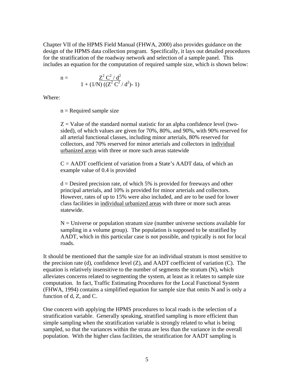Chapter VII of the HPMS Field Manual (FHWA, 2000) also provides guidance on the design of the HPMS data collection program. Specifically, it lays out detailed procedures for the stratification of the roadway network and selection of a sample panel. This includes an equation for the computation of required sample size, which is shown below:

n = 
$$
\frac{Z^2 C^2 / d^2}{1 + (1/N) ((Z^2 C^2 / d^2) - 1)}
$$

Where:

 $n =$  Required sample size

 $Z =$  Value of the standard normal statistic for an alpha confidence level (twosided), of which values are given for 70%, 80%, and 90%, with 90% reserved for all arterial functional classes, including minor arterials, 80% reserved for collectors, and 70% reserved for minor arterials and collectors in individual urbanized areas with three or more such areas statewide

 $C = AADT$  coefficient of variation from a State's  $AADT$  data, of which an example value of 0.4 is provided

 $d =$  Desired precision rate, of which 5% is provided for freeways and other principal arterials, and 10% is provided for minor arterials and collectors. However, rates of up to 15% were also included, and are to be used for lower class facilities in individual urbanized areas with three or more such areas statewide.

 $N =$  Universe or population stratum size (number universe sections available for sampling in a volume group). The population is supposed to be stratified by AADT, which in this particular case is not possible, and typically is not for local roads.

It should be mentioned that the sample size for an individual stratum is most sensitive to the precision rate (d), confidence level (Z), and AADT coefficient of variation (C). The equation is relatively insensitive to the number of segments the stratum (N), which alleviates concerns related to segmenting the system, at least as it relates to sample size computation. In fact, Traffic Estimating Procedures for the Local Functional System (FHWA, 1994) contains a simplified equation for sample size that omits N and is only a function of d, Z, and C.

One concern with applying the HPMS procedures to local roads is the selection of a stratification variable. Generally speaking, stratified sampling is more efficient than simple sampling when the stratification variable is strongly related to what is being sampled, so that the variances within the strata are less than the variance in the overall population. With the higher class facilities, the stratification for AADT sampling is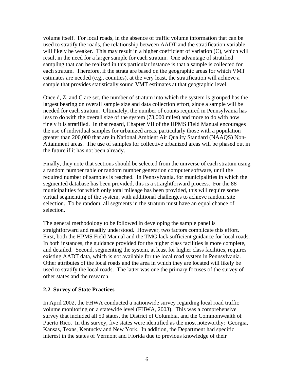volume itself. For local roads, in the absence of traffic volume information that can be used to stratify the roads, the relationship between AADT and the stratification variable will likely be weaker. This may result in a higher coefficient of variation  $(C)$ , which will result in the need for a larger sample for each stratum. One advantage of stratified sampling that can be realized in this particular instance is that a sample is collected for each stratum. Therefore, if the strata are based on the geographic areas for which VMT estimates are needed (e.g., counties), at the very least, the stratification will achieve a sample that provides statistically sound VMT estimates at that geographic level.

Once d, Z, and C are set, the number of stratum into which the system is grouped has the largest bearing on overall sample size and data collection effort, since a sample will be needed for each stratum. Ultimately, the number of counts required in Pennsylvania has less to do with the overall size of the system (73,000 miles) and more to do with how finely it is stratified. In that regard, Chapter VII of the HPMS Field Manual encourages the use of individual samples for urbanized areas, particularly those with a population greater than 200,000 that are in National Ambient Air Quality Standard (NAAQS) Non-Attainment areas. The use of samples for collective urbanized areas will be phased out in the future if it has not been already.

Finally, they note that sections should be selected from the universe of each stratum using a random number table or random number generation computer software, until the required number of samples is reached. In Pennsylvania, for municipalities in which the segmented database has been provided, this is a straightforward process. For the 88 municipalities for which only total mileage has been provided, this will require some virtual segmenting of the system, with additional challenges to achieve random site selection. To be random, all segments in the stratum must have an equal chance of selection.

The general methodology to be followed in developing the sample panel is straightforward and readily understood. However, two factors complicate this effort. First, both the HPMS Field Manual and the TMG lack sufficient guidance for local roads. In both instances, the guidance provided for the higher class facilities is more complete, and detailed. Second, segmenting the system, at least for higher class facilities, requires existing AADT data, which is not available for the local road system in Pennsylvania. Other attributes of the local roads and the area in which they are located will likely be used to stratify the local roads. The latter was one the primary focuses of the survey of other states and the research.

#### **2.2 Survey of State Practices**

In April 2002, the FHWA conducted a nationwide survey regarding local road traffic volume monitoring on a statewide level (FHWA, 2003). This was a comprehensive survey that included all 50 states, the District of Columbia, and the Commonwealth of Puerto Rico. In this survey, five states were identified as the most noteworthy: Georgia, Kansas, Texas, Kentucky and New York. In addition, the Department had specific interest in the states of Vermont and Florida due to previous knowledge of their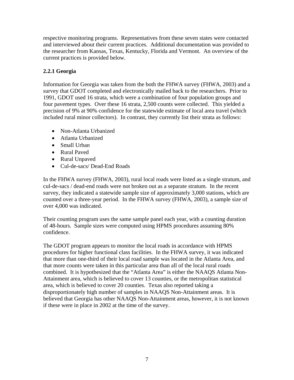respective monitoring programs. Representatives from these seven states were contacted and interviewed about their current practices. Additional documentation was provided to the researcher from Kansas, Texas, Kentucky, Florida and Vermont. An overview of the current practices is provided below.

# **2.2.1 Georgia**

Information for Georgia was taken from the both the FHWA survey (FHWA, 2003) and a survey that GDOT completed and electronically mailed back to the researchers. Prior to 1991, GDOT used 16 strata, which were a combination of four population groups and four pavement types. Over these 16 strata, 2,500 counts were collected. This yielded a precision of 9% at 90% confidence for the statewide estimate of local area travel (which included rural minor collectors). In contrast, they currently list their strata as follows:

- Non-Atlanta Urbanized
- Atlanta Urbanized
- Small Urban
- Rural Paved
- Rural Unpaved
- Cul-de-sacs/ Dead-End Roads

In the FHWA survey (FHWA, 2003), rural local roads were listed as a single stratum, and cul-de-sacs / dead-end roads were not broken out as a separate stratum. In the recent survey, they indicated a statewide sample size of approximately 3,000 stations, which are counted over a three-year period. In the FHWA survey (FHWA, 2003), a sample size of over 4,000 was indicated.

Their counting program uses the same sample panel each year, with a counting duration of 48-hours. Sample sizes were computed using HPMS procedures assuming 80% confidence.

The GDOT program appears to monitor the local roads in accordance with HPMS procedures for higher functional class facilities. In the FHWA survey, it was indicated that more than one-third of their local road sample was located in the Atlanta Area, and that more counts were taken in this particular area than all of the local rural roads combined. It is hypothesized that the "Atlanta Area" is either the NAAQS Atlanta Non-Attainment area, which is believed to cover 13 counties, or the metropolitan statistical area, which is believed to cover 20 counties. Texas also reported taking a disproportionately high number of samples in NAAQS Non-Attainment areas. It is believed that Georgia has other NAAQS Non-Attainment areas, however, it is not known if these were in place in 2002 at the time of the survey.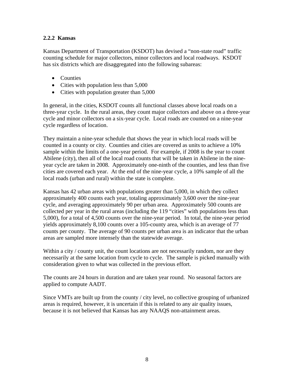## **2.2.2 Kansas**

Kansas Department of Transportation (KSDOT) has devised a "non-state road" traffic counting schedule for major collectors, minor collectors and local roadways. KSDOT has six districts which are disaggregated into the following subareas:

- Counties
- Cities with population less than 5,000
- Cities with population greater than 5,000

In general, in the cities, KSDOT counts all functional classes above local roads on a three-year cycle. In the rural areas, they count major collectors and above on a three-year cycle and minor collectors on a six-year cycle. Local roads are counted on a nine-year cycle regardless of location.

They maintain a nine-year schedule that shows the year in which local roads will be counted in a county or city. Counties and cities are covered as units to achieve a 10% sample within the limits of a one-year period. For example, if 2008 is the year to count Abilene (city), then all of the local road counts that will be taken in Abilene in the nineyear cycle are taken in 2008. Approximately one-ninth of the counties, and less than five cities are covered each year. At the end of the nine-year cycle, a 10% sample of all the local roads (urban and rural) within the state is complete.

Kansas has 42 urban areas with populations greater than 5,000, in which they collect approximately 400 counts each year, totaling approximately 3,600 over the nine-year cycle, and averaging approximately 90 per urban area. Approximately 500 counts are collected per year in the rural areas (including the 119 "cities" with populations less than 5,000), for a total of 4,500 counts over the nine-year period. In total, the nine-year period yields approximately 8,100 counts over a 105-county area, which is an average of 77 counts per county. The average of 90 counts per urban area is an indicator that the urban areas are sampled more intensely than the statewide average.

Within a city / county unit, the count locations are not necessarily random, nor are they necessarily at the same location from cycle to cycle. The sample is picked manually with consideration given to what was collected in the previous effort.

The counts are 24 hours in duration and are taken year round. No seasonal factors are applied to compute AADT.

Since VMTs are built up from the county / city level, no collective grouping of urbanized areas is required, however, it is uncertain if this is related to any air quality issues, because it is not believed that Kansas has any NAAQS non-attainment areas.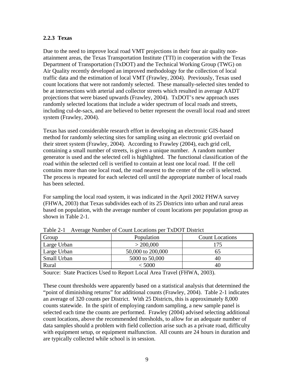#### **2.2.3 Texas**

Due to the need to improve local road VMT projections in their four air quality nonattainment areas, the Texas Transportation Institute (TTI) in cooperation with the Texas Department of Transportation (TxDOT) and the Technical Working Group (TWG) on Air Quality recently developed an improved methodology for the collection of local traffic data and the estimation of local VMT (Frawley, 2004). Previously, Texas used count locations that were not randomly selected. These manually-selected sites tended to be at intersections with arterial and collector streets which resulted in average AADT projections that were biased upwards (Frawley, 2004). TxDOT's new approach uses randomly selected locations that include a wider spectrum of local roads and streets, including cul-de-sacs, and are believed to better represent the overall local road and street system (Frawley, 2004).

Texas has used considerable research effort in developing an electronic GIS-based method for randomly selecting sites for sampling using an electronic grid overlaid on their street system (Frawley, 2004). According to Frawley (2004), each grid cell, containing a small number of streets, is given a unique number. A random number generator is used and the selected cell is highlighted. The functional classification of the road within the selected cell is verified to contain at least one local road. If the cell contains more than one local road, the road nearest to the center of the cell is selected. The process is repeated for each selected cell until the appropriate number of local roads has been selected.

For sampling the local road system, it was indicated in the April 2002 FHWA survey (FHWA, 2003) that Texas subdivides each of its 25 Districts into urban and rural areas based on population, with the average number of count locations per population group as shown in Table 2-1.

| Group       | Population        | <b>Count Locations</b> |
|-------------|-------------------|------------------------|
| Large Urban | > 200,000         | 175                    |
| Large Urban | 50,000 to 200,000 | ნა                     |
| Small Urban | 5000 to 50,000    | 40                     |
| Rural       | < 5000            | 40                     |

Table 2-1 Average Number of Count Locations per TxDOT District

Source: State Practices Used to Report Local Area Travel (FHWA, 2003).

These count thresholds were apparently based on a statistical analysis that determined the "point of diminishing returns" for additional counts (Frawley, 2004). Table 2-1 indicates an average of 320 counts per District. With 25 Districts, this is approximately 8,000 counts statewide. In the spirit of employing random sampling, a new sample panel is selected each time the counts are performed. Frawley (2004) advised selecting additional count locations, above the recommended thresholds, to allow for an adequate number of data samples should a problem with field collection arise such as a private road, difficulty with equipment setup, or equipment malfunction. All counts are 24 hours in duration and are typically collected while school is in session.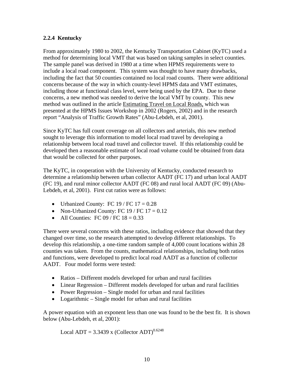## **2.2.4 Kentucky**

From approximately 1980 to 2002, the Kentucky Transportation Cabinet (KyTC) used a method for determining local VMT that was based on taking samples in select counties. The sample panel was derived in 1980 at a time when HPMS requirements were to include a local road component. This system was thought to have many drawbacks, including the fact that 50 counties contained no local road counts. There were additional concerns because of the way in which county-level HPMS data and VMT estimates, including those at functional class level, were being used by the EPA. Due to these concerns, a new method was needed to derive the local VMT by county. This new method was outlined in the article Estimating Travel on Local Roads, which was presented at the HPMS Issues Workshop in 2002 (Rogers, 2002) and in the research report "Analysis of Traffic Growth Rates" (Abu-Lebdeh, et al, 2001).

Since KyTC has full count coverage on all collectors and arterials, this new method sought to leverage this information to model local road travel by developing a relationship between local road travel and collector travel. If this relationship could be developed then a reasonable estimate of local road volume could be obtained from data that would be collected for other purposes.

The KyTC, in cooperation with the University of Kentucky, conducted research to determine a relationship between urban collector AADT (FC 17) and urban local AADT (FC 19), and rural minor collector AADT (FC 08) and rural local AADT (FC 09) (Abu-Lebdeh, et al, 2001). First cut ratios were as follows:

- Urbanized County: FC 19 / FC 17 =  $0.28$
- Non-Urbanized County: FC  $19$  / FC  $17 = 0.12$
- All Counties: FC 09 / FC  $18 = 0.33$

There were several concerns with these ratios, including evidence that showed that they changed over time, so the research attempted to develop different relationships. To develop this relationship, a one-time random sample of 4,000 count locations within 28 counties was taken. From the counts, mathematical relationships, including both ratios and functions, were developed to predict local road AADT as a function of collector AADT. Four model forms were tested:

- Ratios Different models developed for urban and rural facilities
- Linear Regression Different models developed for urban and rural facilities
- Power Regression Single model for urban and rural facilities
- Logarithmic Single model for urban and rural facilities

A power equation with an exponent less than one was found to be the best fit. It is shown below (Abu-Lebdeh, et al, 2001):

Local ADT =  $3.3439$  x (Collector ADT)<sup>0.6248</sup>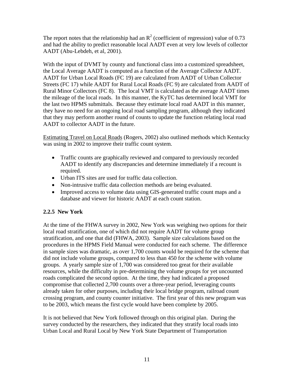The report notes that the relationship had an  $\mathbb{R}^2$  (coefficient of regression) value of 0.73 and had the ability to predict reasonable local AADT even at very low levels of collector AADT (Abu-Lebdeh, et al, 2001).

With the input of DVMT by county and functional class into a customized spreadsheet, the Local Average AADT is computed as a function of the Average Collector AADT. AADT for Urban Local Roads (FC 19) are calculated from AADT of Urban Collector Streets (FC 17) while AADT for Rural Local Roads (FC 9) are calculated from AADT of Rural Minor Collectors (FC 8). The local VMT is calculated as the average AADT times the mileage of the local roads. In this manner, the KyTC has determined local VMT for the last two HPMS submittals. Because they estimate local road AADT in this manner, they have no need for an ongoing local road sampling program, although they indicated that they may perform another round of counts to update the function relating local road AADT to collector AADT in the future.

Estimating Travel on Local Roads (Rogers, 2002) also outlined methods which Kentucky was using in 2002 to improve their traffic count system.

- Traffic counts are graphically reviewed and compared to previously recorded AADT to identify any discrepancies and determine immediately if a recount is required.
- Urban ITS sites are used for traffic data collection.
- Non-intrusive traffic data collection methods are being evaluated.
- Improved access to volume data using GIS-generated traffic count maps and a database and viewer for historic AADT at each count station.

## **2.2.5 New York**

At the time of the FHWA survey in 2002, New York was weighing two options for their local road stratification, one of which did not require AADT for volume group stratification, and one that did (FHWA, 2003). Sample size calculations based on the procedures in the HPMS Field Manual were conducted for each scheme. The difference in sample sizes was dramatic, as over 1,700 counts would be required for the scheme that did not include volume groups, compared to less than 450 for the scheme with volume groups. A yearly sample size of 1,700 was considered too great for their available resources, while the difficulty in pre-determining the volume groups for yet uncounted roads complicated the second option. At the time, they had indicated a proposed compromise that collected 2,700 counts over a three-year period, leveraging counts already taken for other purposes, including their local bridge program, railroad count crossing program, and county counter initiative. The first year of this new program was to be 2003, which means the first cycle would have been complete by 2005.

It is not believed that New York followed through on this original plan. During the survey conducted by the researchers, they indicated that they stratify local roads into Urban Local and Rural Local by New York State Department of Transportation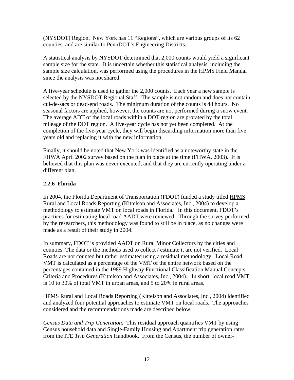(NYSDOT) Region. New York has 11 "Regions", which are various groups of its 62 counties, and are similar to PennDOT's Engineering Districts.

A statistical analysis by NYSDOT determined that 2,000 counts would yield a significant sample size for the state. It is uncertain whether this statistical analysis, including the sample size calculation, was performed using the procedures in the HPMS Field Manual since the analysis was not shared.

A five-year schedule is used to gather the 2,000 counts. Each year a new sample is selected by the NYSDOT Regional Staff. The sample is not random and does not contain cul-de-sacs or dead-end roads. The minimum duration of the counts is 48 hours. No seasonal factors are applied, however, the counts are not performed during a snow event. The average ADT of the local roads within a DOT region are prorated by the total mileage of the DOT region. A five-year cycle has not yet been completed. At the completion of the five-year cycle, they will begin discarding information more than five years old and replacing it with the new information.

Finally, it should be noted that New York was identified as a noteworthy state in the FHWA April 2002 survey based on the plan in place at the time (FHWA, 2003). It is believed that this plan was never executed, and that they are currently operating under a different plan.

## **2.2.6 Florida**

In 2004, the Florida Department of Transportation (FDOT) funded a study titled HPMS Rural and Local Roads Reporting (Kittelson and Associates, Inc., 2004) to develop a methodology to estimate VMT on local roads in Florida. In this document, FDOT's practices for estimating local road AADT were reviewed. Through the survey performed by the researchers, this methodology was found to still be in place, as no changes were made as a result of their study in 2004.

In summary, FDOT is provided AADT on Rural Minor Collectors by the cities and counties. The data or the methods used to collect / estimate it are not verified. Local Roads are not counted but rather estimated using a residual methodology. Local Road VMT is calculated as a percentage of the VMT of the entire network based on the percentages contained in the 1989 Highway Functional Classification Manual Concepts, Criteria and Procedures (Kittelson and Associates, Inc., 2004). In short, local road VMT is 10 to 30% of total VMT in urban areas, and 5 to 20% in rural areas.

HPMS Rural and Local Roads Reporting (Kittelson and Associates, Inc., 2004) identified and analyzed four potential approaches to estimate VMT on local roads. The approaches considered and the recommendations made are described below.

*Census Data and Trip Generation.* This residual approach quantifies VMT by using Census household data and Single-Family Housing and Apartment trip generation rates from the ITE *Trip Generation* Handbook. From the Census, the number of owner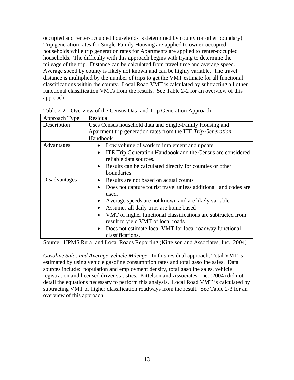occupied and renter-occupied households is determined by county (or other boundary). Trip generation rates for Single-Family Housing are applied to owner-occupied households while trip generation rates for Apartments are applied to renter-occupied households. The difficulty with this approach begins with trying to determine the mileage of the trip. Distance can be calculated from travel time and average speed. Average speed by county is likely not known and can be highly variable. The travel distance is multiplied by the number of trips to get the VMT estimate for all functional classifications within the county. Local Road VMT is calculated by subtracting all other functional classification VMTs from the results. See Table 2-2 for an overview of this approach.

| Approach Type        | Residual                                                                               |  |  |
|----------------------|----------------------------------------------------------------------------------------|--|--|
| Description          | Uses Census household data and Single-Family Housing and                               |  |  |
|                      | Apartment trip generation rates from the ITE Trip Generation                           |  |  |
|                      | Handbook                                                                               |  |  |
| Advantages           | Low volume of work to implement and update<br>$\bullet$                                |  |  |
|                      | ITE Trip Generation Handbook and the Census are considered<br>$\bullet$                |  |  |
|                      | reliable data sources.                                                                 |  |  |
|                      | Results can be calculated directly for counties or other<br>$\bullet$                  |  |  |
|                      | boundaries                                                                             |  |  |
| <b>Disadvantages</b> | Results are not based on actual counts<br>$\bullet$                                    |  |  |
|                      | Does not capture tourist travel unless additional land codes are<br>$\bullet$<br>used. |  |  |
|                      | Average speeds are not known and are likely variable<br>$\bullet$                      |  |  |
|                      | Assumes all daily trips are home based<br>$\bullet$                                    |  |  |
|                      | VMT of higher functional classifications are subtracted from<br>$\bullet$              |  |  |
|                      | result to yield VMT of local roads                                                     |  |  |
|                      | Does not estimate local VMT for local roadway functional<br>$\bullet$                  |  |  |
|                      | classifications.                                                                       |  |  |

Table 2-2 Overview of the Census Data and Trip Generation Approach

Source: HPMS Rural and Local Roads Reporting (Kittelson and Associates, Inc., 2004)

*Gasoline Sales and Average Vehicle Mileage.* In this residual approach, Total VMT is estimated by using vehicle gasoline consumption rates and total gasoline sales. Data sources include: population and employment density, total gasoline sales, vehicle registration and licensed driver statistics. Kittelson and Associates, Inc. (2004) did not detail the equations necessary to perform this analysis. Local Road VMT is calculated by subtracting VMT of higher classification roadways from the result. See Table 2-3 for an overview of this approach.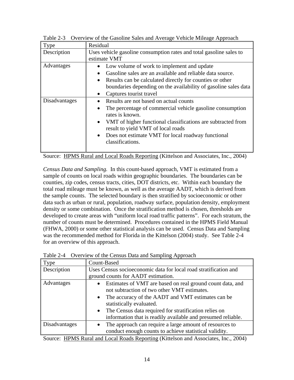| Type                 | Residual                                                                                                                                                                                                                                                                                                                                      |  |  |
|----------------------|-----------------------------------------------------------------------------------------------------------------------------------------------------------------------------------------------------------------------------------------------------------------------------------------------------------------------------------------------|--|--|
| Description          | Uses vehicle gasoline consumption rates and total gasoline sales to<br>estimate VMT                                                                                                                                                                                                                                                           |  |  |
| Advantages           | Low volume of work to implement and update<br>$\bullet$<br>Gasoline sales are an available and reliable data source.<br>Results can be calculated directly for counties or other<br>$\bullet$<br>boundaries depending on the availability of gasoline sales data<br>Captures tourist travel<br>$\bullet$                                      |  |  |
| <b>Disadvantages</b> | Results are not based on actual counts<br>The percentage of commercial vehicle gasoline consumption<br>$\bullet$<br>rates is known.<br>VMT of higher functional classifications are subtracted from<br>$\bullet$<br>result to yield VMT of local roads<br>Does not estimate VMT for local roadway functional<br>$\bullet$<br>classifications. |  |  |

Table 2-3 Overview of the Gasoline Sales and Average Vehicle Mileage Approach

Source: HPMS Rural and Local Roads Reporting (Kittelson and Associates, Inc., 2004)

*Census Data and Sampling.* In this count-based approach, VMT is estimated from a sample of counts on local roads within geographic boundaries. The boundaries can be counties, zip codes, census tracts, cities, DOT districts, etc. Within each boundary the total road mileage must be known, as well as the average AADT, which is derived from the sample counts. The selected boundary is then stratified by socioeconomic or other data such as urban or rural, population, roadway surface, population density, employment density or some combination. Once the stratification method is chosen, thresholds are developed to create areas with "uniform local road traffic patterns". For each stratum, the number of counts must be determined. Procedures contained in the HPMS Field Manual (FHWA, 2000) or some other statistical analysis can be used. Census Data and Sampling was the recommended method for Florida in the Kittelson (2004) study. See Table 2-4 for an overview of this approach.

| Type          | Count-Based                                                                                                                                                                                                                                                                                                                                    |  |  |
|---------------|------------------------------------------------------------------------------------------------------------------------------------------------------------------------------------------------------------------------------------------------------------------------------------------------------------------------------------------------|--|--|
| Description   | Uses Census socioeconomic data for local road stratification and                                                                                                                                                                                                                                                                               |  |  |
|               | ground counts for AADT estimation.                                                                                                                                                                                                                                                                                                             |  |  |
| Advantages    | Estimates of VMT are based on real ground count data, and<br>$\bullet$<br>not subtraction of two other VMT estimates.<br>The accuracy of the AADT and VMT estimates can be<br>$\bullet$<br>statistically evaluated.<br>• The Census data required for stratification relies on<br>information that is readily available and presumed reliable. |  |  |
| Disadvantages | The approach can require a large amount of resources to<br>$\bullet$<br>conduct enough counts to achieve statistical validity.                                                                                                                                                                                                                 |  |  |

Table 2-4 Overview of the Census Data and Sampling Approach

Source: HPMS Rural and Local Roads Reporting (Kittelson and Associates, Inc., 2004)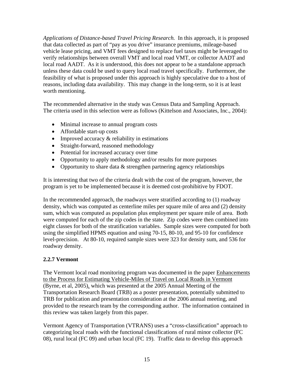*Applications of Distance-based Travel Pricing Research.* In this approach, it is proposed that data collected as part of "pay as you drive" insurance premiums, mileage-based vehicle lease pricing, and VMT fees designed to replace fuel taxes might be leveraged to verify relationships between overall VMT and local road VMT, or collector AADT and local road AADT. As it is understood, this does not appear to be a standalone approach unless these data could be used to query local road travel specifically. Furthermore, the feasibility of what is proposed under this approach is highly speculative due to a host of reasons, including data availability. This may change in the long-term, so it is at least worth mentioning.

The recommended alternative in the study was Census Data and Sampling Approach. The criteria used in this selection were as follows (Kittelson and Associates, Inc., 2004):

- Minimal increase to annual program costs
- Affordable start-up costs
- Improved accuracy & reliability in estimations
- Straight-forward, reasoned methodology
- Potential for increased accuracy over time
- Opportunity to apply methodology and/or results for more purposes
- Opportunity to share data & strengthen partnering agency relationships

It is interesting that two of the criteria dealt with the cost of the program, however, the program is yet to be implemented because it is deemed cost-prohibitive by FDOT.

In the recommended approach, the roadways were stratified according to (1) roadway density, which was computed as centerline miles per square mile of area and (2) density sum, which was computed as population plus employment per square mile of area. Both were computed for each of the zip codes in the state. Zip codes were then combined into eight classes for both of the stratification variables. Sample sizes were computed for both using the simplified HPMS equation and using 70-15, 80-10, and 95-10 for confidence level-precision. At 80-10, required sample sizes were 323 for density sum, and 536 for roadway density.

## **2.2.7 Vermont**

The Vermont local road monitoring program was documented in the paper Enhancements to the Process for Estimating Vehicle-Miles of Travel on Local Roads in Vermont (Byrne, et al, 2005), which was presented at the 2005 Annual Meeting of the Transportation Research Board (TRB) as a poster presentation, potentially submitted to TRB for publication and presentation consideration at the 2006 annual meeting, and provided to the research team by the corresponding author. The information contained in this review was taken largely from this paper.

Vermont Agency of Transportation (VTRANS) uses a "cross-classification" approach to categorizing local roads with the functional classifications of rural minor collector (FC 08), rural local (FC 09) and urban local (FC 19). Traffic data to develop this approach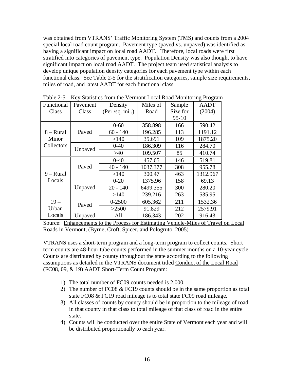was obtained from VTRANS' Traffic Monitoring System (TMS) and counts from a 2004 special local road count program. Pavement type (paved vs. unpaved) was identified as having a significant impact on local road AADT. Therefore, local roads were first stratified into categories of pavement type. Population Density was also thought to have significant impact on local road AADT. The project team used statistical analysis to develop unique population density categories for each pavement type within each functional class. See Table 2-5 for the stratification categories, sample size requirements, miles of road, and latest AADT for each functional class.

| Functional  | Pavement | Density        | Miles of | Sample   | <b>AADT</b> |
|-------------|----------|----------------|----------|----------|-------------|
| Class       | Class    | (Per./sq. mi.) | Road     | Size for | (2004)      |
|             |          |                |          | $95-10$  |             |
|             |          | $0 - 60$       | 358.898  | 166      | 590.42      |
| $8 - Rural$ | Paved    | $60 - 140$     | 196.285  | 113      | 1191.12     |
| Minor       |          | >140           | 35.691   | 109      | 1875.20     |
| Collectors  | Unpaved  | $0 - 40$       | 186.309  | 116      | 284.70      |
|             |          | >40            | 109.507  | 85       | 410.74      |
|             |          | $0-40$         | 457.65   | 146      | 519.81      |
|             | Paved    | $40 - 140$     | 1037.377 | 308      | 955.78      |
| $9 - Rural$ |          | >140           | 300.47   | 463      | 1312.967    |
| Locals      |          | $0 - 20$       | 1375.96  | 158      | 69.13       |
|             | Unpaved  | $20 - 140$     | 6499.355 | 300      | 280.20      |
|             |          | >140           | 239.216  | 263      | 535.95      |
| $19-$       | Paved    | $0 - 2500$     | 605.362  | 211      | 1532.36     |
| Urban       | >2500    | 91.829         | 212      | 2579.91  |             |
| Locals      | Unpaved  | All            | 186.343  | 202      | 916.43      |

Table 2-5 Key Statistics from the Vermont Local Road Monitoring Program

Source: Enhancements to the Process for Estimating Vehicle-Miles of Travel on Local Roads in Vermont, (Byrne, Croft, Spicer, and Pologruto, 2005)

VTRANS uses a short-term program and a long-term program to collect counts. Short term counts are 48-hour tube counts performed in the summer months on a 10-year cycle. Counts are distributed by county throughout the state according to the following assumptions as detailed in the VTRANS document titled Conduct of the Local Road (FC08, 09, & 19) AADT Short-Term Count Program:

- 1) The total number of FC09 counts needed is 2,000.
- 2) The number of FC08 & FC19 counts should be in the same proportion as total state FC08 & FC19 road mileage is to total state FC09 road mileage.
- 3) All classes of counts by county should be in proportion to the mileage of road in that county in that class to total mileage of that class of road in the entire state.
- 4) Counts will be conducted over the entire State of Vermont each year and will be distributed proportionally to each year.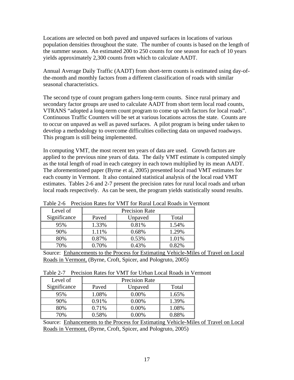Locations are selected on both paved and unpaved surfaces in locations of various population densities throughout the state. The number of counts is based on the length of the summer season. An estimated 200 to 250 counts for one season for each of 10 years yields approximately 2,300 counts from which to calculate AADT.

Annual Average Daily Traffic (AADT) from short-term counts is estimated using day-ofthe-month and monthly factors from a different classification of roads with similar seasonal characteristics.

The second type of count program gathers long-term counts. Since rural primary and secondary factor groups are used to calculate AADT from short term local road counts, VTRANS "adopted a long-term count program to come up with factors for local roads". Continuous Traffic Counters will be set at various locations across the state. Counts are to occur on unpaved as well as paved surfaces. A pilot program is being under taken to develop a methodology to overcome difficulties collecting data on unpaved roadways. This program is still being implemented.

In computing VMT, the most recent ten years of data are used. Growth factors are applied to the previous nine years of data. The daily VMT estimate is computed simply as the total length of road in each category in each town multiplied by its mean AADT. The aforementioned paper (Byrne et al, 2005) presented local road VMT estimates for each county in Vermont. It also contained statistical analysis of the local road VMT estimates. Tables 2-6 and 2-7 present the precision rates for rural local roads and urban local roads respectively. As can be seen, the program yields statistically sound results.

| Level of     | <b>Precision Rate</b> |         |       |
|--------------|-----------------------|---------|-------|
| Significance | Paved                 | Unpaved | Total |
| 95%          | 1.33%                 | 0.81%   | 1.54% |
| 90%          | 1.11%                 | 0.68%   | 1.29% |
| 80%          | 0.87%                 | 0.53%   | 1.01% |
| 70%          | 0.70%                 | 0.43%   | 0.82% |

Table 2-6 Precision Rates for VMT for Rural Local Roads in Vermont

Source: Enhancements to the Process for Estimating Vehicle-Miles of Travel on Local Roads in Vermont, (Byrne, Croft, Spicer, and Pologruto, 2005)

| Level of     | <b>Precision Rate</b> |         |       |
|--------------|-----------------------|---------|-------|
| Significance | Paved                 | Unpaved | Total |
| 95%          | 1.08%                 | 0.00%   | 1.65% |
| 90%          | 0.91%                 | 0.00%   | 1.39% |
| 80%          | 0.71%                 | 0.00%   | 1.08% |
| 70%          | 0.58%                 | 0.00%   | 0.88% |

Source: Enhancements to the Process for Estimating Vehicle-Miles of Travel on Local Roads in Vermont, (Byrne, Croft, Spicer, and Pologruto, 2005)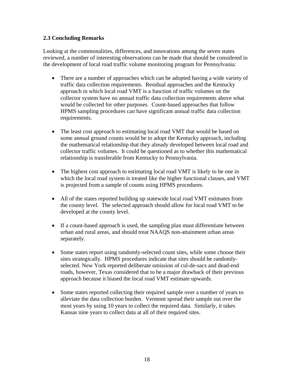#### **2.3 Concluding Remarks**

Looking at the commonalities, differences, and innovations among the seven states reviewed, a number of interesting observations can be made that should be considered in the development of local road traffic volume monitoring program for Pennsylvania:

- There are a number of approaches which can be adopted having a wide variety of traffic data collection requirements. Residual approaches and the Kentucky approach in which local road VMT is a function of traffic volumes on the collector system have no annual traffic data collection requirements above what would be collected for other purposes. Count-based approaches that follow HPMS sampling procedures can have significant annual traffic data collection requirements.
- The least cost approach to estimating local road VMT that would be based on some annual ground counts would be to adopt the Kentucky approach, including the mathematical relationship that they already developed between local road and collector traffic volumes. It could be questioned as to whether this mathematical relationship is transferable from Kentucky to Pennsylvania.
- The highest cost approach to estimating local road VMT is likely to be one in which the local road system is treated like the higher functional classes, and VMT is projected from a sample of counts using HPMS procedures.
- All of the states reported building up statewide local road VMT estimates from the county level. The selected approach should allow for local road VMT to be developed at the county level.
- If a count-based approach is used, the sampling plan must differentiate between urban and rural areas, and should treat NAAQS non-attainment urban areas separately.
- Some states report using randomly-selected count sites, while some choose their sites strategically. HPMS procedures indicate that sites should be randomlyselected. New York reported deliberate omission of cul-de-sacs and dead-end roads, however, Texas considered that to be a major drawback of their previous approach because it biased the local road VMT estimate upwards.
- Some states reported collecting their required sample over a number of years to alleviate the data collection burden. Vermont spread their sample out over the most years by using 10 years to collect the required data. Similarly, it takes Kansas nine years to collect data at all of their required sites.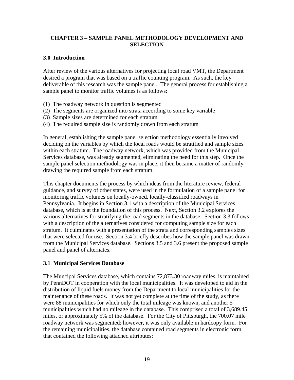## **CHAPTER 3 – SAMPLE PANEL METHODOLOGY DEVELOPMENT AND SELECTION**

#### **3.0 Introduction**

After review of the various alternatives for projecting local road VMT, the Department desired a program that was based on a traffic counting program. As such, the key deliverable of this research was the sample panel. The general process for establishing a sample panel to monitor traffic volumes is as follows:

- (1) The roadway network in question is segmented
- (2) The segments are organized into strata according to some key variable
- (3) Sample sizes are determined for each stratum
- (4) The required sample size is randomly drawn from each stratum

In general, establishing the sample panel selection methodology essentially involved deciding on the variables by which the local roads would be stratified and sample sizes within each stratum. The roadway network, which was provided from the Municipal Services database, was already segmented, eliminating the need for this step. Once the sample panel selection methodology was in place, it then became a matter of randomly drawing the required sample from each stratum.

This chapter documents the process by which ideas from the literature review, federal guidance, and survey of other states, were used in the formulation of a sample panel for monitoring traffic volumes on locally-owned, locally-classified roadways in Pennsylvania. It begins in Section 3.1 with a description of the Municipal Services database, which is at the foundation of this process. Next, Section 3.2 explores the various alternatives for stratifying the road segments in the database. Section 3.3 follows with a description of the alternatives considered for computing sample size for each stratum. It culminates with a presentation of the strata and corresponding samples sizes that were selected for use. Section 3.4 briefly describes how the sample panel was drawn from the Municipal Services database. Sections 3.5 and 3.6 present the proposed sample panel and panel of alternates.

#### **3.1 Municipal Services Database**

The Muncipal Services database, which contains 72,873.30 roadway miles, is maintained by PennDOT in cooperation with the local municipalities. It was developed to aid in the distribution of liquid fuels money from the Department to local municipalities for the maintenance of these roads. It was not yet complete at the time of the study, as there were 88 municipalities for which only the total mileage was known, and another 5 municipalities which had no mileage in the database. This comprised a total of 3,689.45 miles, or approximately 5% of the database. For the City of Pittsburgh, the 700.07 mile roadway network was segmented; however, it was only available in hardcopy form. For the remaining municipalities, the database contained road segments in electronic form that contained the following attached attributes: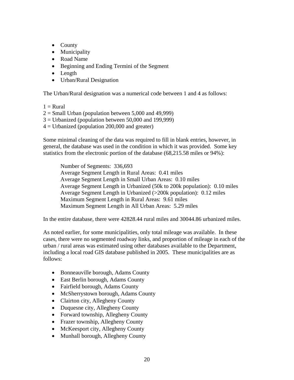- County
- Municipality
- Road Name
- Beginning and Ending Termini of the Segment
- Length
- Urban/Rural Designation

The Urban/Rural designation was a numerical code between 1 and 4 as follows:

- $1 =$ Rural
- $2 =$  Small Urban (population between 5,000 and 49,999)
- $3 =$  Urbanized (population between 50,000 and 199,999)
- $4 =$  Urbanized (population 200,000 and greater)

Some minimal cleaning of the data was required to fill in blank entries, however, in general, the database was used in the condition in which it was provided. Some key statistics from the electronic portion of the database (68,215.58 miles or 94%):

Number of Segments: 336,693 Average Segment Length in Rural Areas: 0.41 miles Average Segment Length in Small Urban Areas: 0.10 miles Average Segment Length in Urbanized (50k to 200k population): 0.10 miles Average Segment Length in Urbanized (>200k population): 0.12 miles Maximum Segment Length in Rural Areas: 9.61 miles Maximum Segment Length in All Urban Areas: 5.29 miles

In the entire database, there were 42828.44 rural miles and 30044.86 urbanized miles.

As noted earlier, for some municipalities, only total mileage was available. In these cases, there were no segmented roadway links, and proportion of mileage in each of the urban / rural areas was estimated using other databases available to the Department, including a local road GIS database published in 2005. These municipalities are as follows:

- Bonneauville borough, Adams County
- East Berlin borough, Adams County
- Fairfield borough, Adams County
- McSherrystown borough, Adams County
- Clairton city, Allegheny County
- Duquesne city, Allegheny County
- Forward township, Allegheny County
- Frazer township, Allegheny County
- McKeesport city, Allegheny County
- Munhall borough, Allegheny County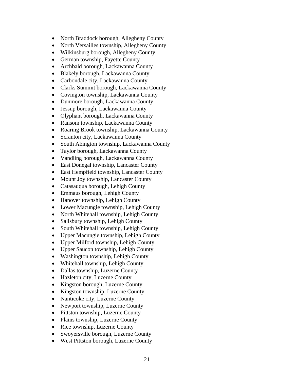- North Braddock borough, Allegheny County
- North Versailles township, Allegheny County
- Wilkinsburg borough, Allegheny County
- German township, Fayette County
- Archbald borough, Lackawanna County
- Blakely borough, Lackawanna County
- Carbondale city, Lackawanna County
- Clarks Summit borough, Lackawanna County
- Covington township, Lackawanna County
- Dunmore borough, Lackawanna County
- Jessup borough, Lackawanna County
- Olyphant borough, Lackawanna County
- Ransom township, Lackawanna County
- Roaring Brook township, Lackawanna County
- Scranton city, Lackawanna County
- South Abington township, Lackawanna County
- Taylor borough, Lackawanna County
- Vandling borough, Lackawanna County
- East Donegal township, Lancaster County
- East Hempfield township, Lancaster County
- Mount Joy township, Lancaster County
- Catasauqua borough, Lehigh County
- Emmaus borough, Lehigh County
- Hanover township, Lehigh County
- Lower Macungie township, Lehigh County
- North Whitehall township, Lehigh County
- Salisbury township, Lehigh County
- South Whitehall township, Lehigh County
- Upper Macungie township, Lehigh County
- Upper Milford township, Lehigh County
- Upper Saucon township, Lehigh County
- Washington township, Lehigh County
- Whitehall township, Lehigh County
- Dallas township, Luzerne County
- Hazleton city, Luzerne County
- Kingston borough, Luzerne County
- Kingston township, Luzerne County
- Nanticoke city, Luzerne County
- Newport township, Luzerne County
- Pittston township, Luzerne County
- Plains township, Luzerne County
- Rice township, Luzerne County
- Swoyersville borough, Luzerne County
- West Pittston borough, Luzerne County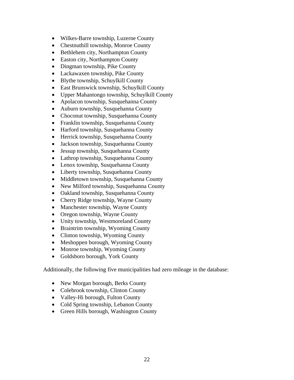- Wilkes-Barre township, Luzerne County
- Chestnuthill township, Monroe County
- Bethlehem city, Northampton County
- Easton city, Northampton County
- Dingman township, Pike County
- Lackawaxen township, Pike County
- Blythe township, Schuylkill County
- East Brunswick township, Schuylkill County
- Upper Mahantongo township, Schuylkill County
- Apolacon township, Susquehanna County
- Auburn township, Susquehanna County
- Choconut township, Susquehanna County
- Franklin township, Susquehanna County
- Harford township, Susquehanna County
- Herrick township, Susquehanna County
- Jackson township, Susquehanna County
- Jessup township, Susquehanna County
- Lathrop township, Susquehanna County
- Lenox township, Susquehanna County
- Liberty township, Susquehanna County
- Middletown township, Susquehanna County
- New Milford township, Susquehanna County
- Oakland township, Susquehanna County
- Cherry Ridge township, Wayne County
- Manchester township, Wayne County
- Oregon township, Wayne County
- Unity township, Westmoreland County
- Braintrim township, Wyoming County
- Clinton township, Wyoming County
- Meshoppen borough, Wyoming County
- Monroe township, Wyoming County
- Goldsboro borough, York County

Additionally, the following five municipalities had zero mileage in the database:

- New Morgan borough, Berks County
- Colebrook township, Clinton County
- Valley-Hi borough, Fulton County
- Cold Spring township, Lebanon County
- Green Hills borough, Washington County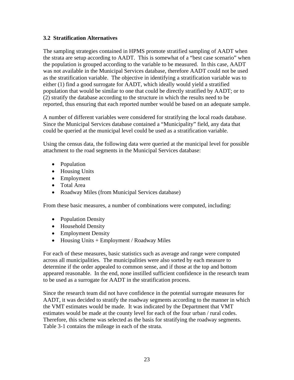#### **3.2 Stratification Alternatives**

The sampling strategies contained in HPMS promote stratified sampling of AADT when the strata are setup according to AADT. This is somewhat of a "best case scenario" when the population is grouped according to the variable to be measured. In this case, AADT was not available in the Municipal Services database, therefore AADT could not be used as the stratification variable. The objective in identifying a stratification variable was to either (1) find a good surrogate for AADT, which ideally would yield a stratified population that would be similar to one that could be directly stratified by AADT; or to (2) stratify the database according to the structure in which the results need to be reported, thus ensuring that each reported number would be based on an adequate sample.

A number of different variables were considered for stratifying the local roads database. Since the Municipal Services database contained a "Municipality" field, any data that could be queried at the municipal level could be used as a stratification variable.

Using the census data, the following data were queried at the municipal level for possible attachment to the road segments in the Municipal Services database:

- Population
- Housing Units
- Employment
- Total Area
- Roadway Miles (from Municipal Services database)

From these basic measures, a number of combinations were computed, including:

- Population Density
- Household Density
- Employment Density
- Housing Units + Employment / Roadway Miles

For each of these measures, basic statistics such as average and range were computed across all municipalities. The municipalities were also sorted by each measure to determine if the order appealed to common sense, and if those at the top and bottom appeared reasonable. In the end, none instilled sufficient confidence in the research team to be used as a surrogate for AADT in the stratification process.

Since the research team did not have confidence in the potential surrogate measures for AADT, it was decided to stratify the roadway segments according to the manner in which the VMT estimates would be made. It was indicated by the Department that VMT estimates would be made at the county level for each of the four urban / rural codes. Therefore, this scheme was selected as the basis for stratifying the roadway segments. Table 3-1 contains the mileage in each of the strata.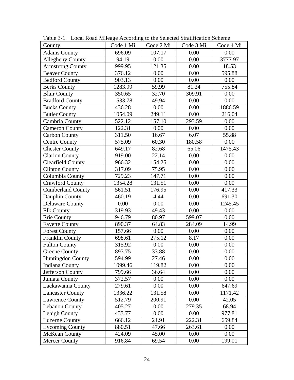| County                   | Code 1 Mi | Code 2 Mi | Code 3 Mi | Code 4 Mi |
|--------------------------|-----------|-----------|-----------|-----------|
| <b>Adams County</b>      | 696.09    | 107.17    | 0.00      | 0.00      |
| <b>Allegheny County</b>  | 94.19     | 0.00      | 0.00      | 3777.97   |
| <b>Armstrong County</b>  | 999.95    | 121.35    | 0.00      | 18.53     |
| <b>Beaver County</b>     | 376.12    | 0.00      | 0.00      | 595.88    |
| <b>Bedford County</b>    | 903.13    | 0.00      | 0.00      | 0.00      |
| <b>Berks County</b>      | 1283.99   | 59.99     | 81.24     | 755.84    |
| <b>Blair County</b>      | 350.65    | 32.70     | 309.91    | 0.00      |
| <b>Bradford County</b>   | 1533.78   | 49.94     | 0.00      | 0.00      |
| <b>Bucks County</b>      | 436.28    | 0.00      | 0.00      | 1886.59   |
| <b>Butler County</b>     | 1054.09   | 249.11    | 0.00      | 216.04    |
| Cambria County           | 522.12    | 157.10    | 293.59    | 0.00      |
| <b>Cameron County</b>    | 122.31    | 0.00      | 0.00      | 0.00      |
| <b>Carbon County</b>     | 311.50    | 16.67     | 6.07      | 55.88     |
| <b>Centre County</b>     | 575.09    | 60.30     | 180.58    | 0.00      |
| <b>Chester County</b>    | 649.17    | 82.68     | 65.06     | 1475.43   |
| <b>Clarion County</b>    | 919.00    | 22.14     | 0.00      | 0.00      |
| <b>Clearfield County</b> | 966.32    | 154.25    | 0.00      | 0.00      |
| <b>Clinton County</b>    | 317.09    | 75.95     | 0.00      | 0.00      |
| Columbia County          | 729.23    | 147.71    | 0.00      | 0.00      |
| <b>Crawford County</b>   | 1354.28   | 131.51    | 0.00      | 0.00      |
| <b>Cumberland County</b> | 561.51    | 176.95    | 0.00      | 417.33    |
| Dauphin County           | 460.19    | 4.44      | 0.00      | 691.30    |
| <b>Delaware County</b>   | 0.00      | 0.00      | 0.00      | 1245.45   |
| Elk County               | 319.93    | 49.43     | 0.00      | 0.00      |
| Erie County              | 946.79    | 80.97     | 599.07    | 0.00      |
| <b>Fayette County</b>    | 890.37    | 64.83     | 284.09    | 14.99     |
| <b>Forest County</b>     | 157.66    | 0.00      | 0.00      | 0.00      |
| <b>Franklin County</b>   | 698.61    | 275.12    | 8.17      | 0.00      |
| <b>Fulton County</b>     | 315.92    | 0.00      | 0.00      | 0.00      |
| <b>Greene County</b>     | 893.75    | 33.88     | 0.00      | 0.00      |
| Huntingdon County        | 594.99    | 27.46     | 0.00      | 0.00      |
| Indiana County           | 1099.46   | 119.82    | 0.00      | 0.00      |
| Jefferson County         | 799.66    | 36.64     | 0.00      | 0.00      |
| Juniata County           | 372.57    | 0.00      | 0.00      | 0.00      |
| Lackawanna County        | 279.61    | 0.00      | 0.00      | 647.69    |
| <b>Lancaster County</b>  | 1336.22   | 131.58    | 0.00      | 1171.42   |
| Lawrence County          | 512.79    | 200.91    | 0.00      | 42.05     |
| Lebanon County           | 405.27    | 0.00      | 279.35    | 68.94     |
| Lehigh County            | 433.77    | 0.00      | 0.00      | 977.81    |
| Luzerne County           | 666.12    | 21.91     | 222.31    | 659.84    |
| <b>Lycoming County</b>   | 880.51    | 47.66     | 263.61    | 0.00      |
| <b>McKean County</b>     | 424.09    | 45.00     | 0.00      | 0.00      |
| <b>Mercer County</b>     | 916.84    | 69.54     | 0.00      | 199.01    |

Table 3-1 Local Road Mileage According to the Selected Stratification Scheme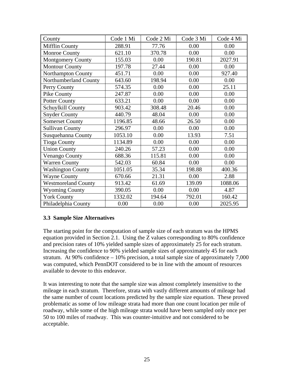| County                     | Code 1 Mi | Code 2 Mi | Code 3 Mi | Code 4 Mi |
|----------------------------|-----------|-----------|-----------|-----------|
| <b>Mifflin County</b>      | 288.91    | 77.76     | 0.00      | 0.00      |
| Monroe County              | 621.10    | 370.78    | 0.00      | 0.00      |
| <b>Montgomery County</b>   | 155.03    | 0.00      | 190.81    | 2027.91   |
| <b>Montour County</b>      | 197.78    | 27.44     | 0.00      | 0.00      |
| <b>Northampton County</b>  | 451.71    | 0.00      | 0.00      | 927.40    |
| Northumberland County      | 643.60    | 198.94    | 0.00      | 0.00      |
| Perry County               | 574.35    | 0.00      | 0.00      | 25.11     |
| Pike County                | 247.87    | 0.00      | 0.00      | 0.00      |
| <b>Potter County</b>       | 633.21    | 0.00      | 0.00      | 0.00      |
| Schuylkill County          | 903.42    | 308.48    | 20.46     | 0.00      |
| <b>Snyder County</b>       | 440.79    | 48.04     | 0.00      | 0.00      |
| <b>Somerset County</b>     | 1196.85   | 48.66     | 26.50     | 0.00      |
| <b>Sullivan County</b>     | 296.97    | 0.00      | 0.00      | 0.00      |
| Susquehanna County         | 1053.10   | 0.00      | 13.93     | 7.51      |
| <b>Tioga County</b>        | 1134.89   | 0.00      | 0.00      | 0.00      |
| <b>Union County</b>        | 240.26    | 57.23     | 0.00      | 0.00      |
| Venango County             | 688.36    | 115.81    | 0.00      | 0.00      |
| <b>Warren County</b>       | 542.03    | 60.84     | 0.00      | 0.00      |
| <b>Washington County</b>   | 1051.05   | 35.34     | 198.88    | 400.36    |
| <b>Wayne County</b>        | 670.66    | 21.31     | 0.00      | 2.88      |
| <b>Westmoreland County</b> | 913.42    | 61.69     | 139.09    | 1088.06   |
| <b>Wyoming County</b>      | 390.05    | 0.00      | 0.00      | 4.87      |
| <b>York County</b>         | 1332.02   | 194.64    | 792.01    | 160.42    |
| Philadelphia County        | 0.00      | 0.00      | 0.00      | 2025.95   |

## **3.3 Sample Size Alternatives**

The starting point for the computation of sample size of each stratum was the HPMS equation provided in Section 2.1. Using the Z values corresponding to 80% confidence and precision rates of 10% yielded sample sizes of approximately 25 for each stratum. Increasing the confidence to 90% yielded sample sizes of approximately 45 for each stratum. At 90% confidence – 10% precision, a total sample size of approximately 7,000 was computed, which PennDOT considered to be in line with the amount of resources available to devote to this endeavor.

It was interesting to note that the sample size was almost completely insensitive to the mileage in each stratum. Therefore, strata with vastly different amounts of mileage had the same number of count locations predicted by the sample size equation. These proved problematic as some of low mileage strata had more than one count location per mile of roadway, while some of the high mileage strata would have been sampled only once per 50 to 100 miles of roadway. This was counter-intuitive and not considered to be acceptable.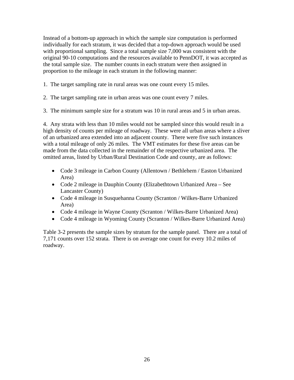Instead of a bottom-up approach in which the sample size computation is performed individually for each stratum, it was decided that a top-down approach would be used with proportional sampling. Since a total sample size 7,000 was consistent with the original 90-10 computations and the resources available to PennDOT, it was accepted as the total sample size. The number counts in each stratum were then assigned in proportion to the mileage in each stratum in the following manner:

1. The target sampling rate in rural areas was one count every 15 miles.

2. The target sampling rate in urban areas was one count every 7 miles.

3. The minimum sample size for a stratum was 10 in rural areas and 5 in urban areas.

4. Any strata with less than 10 miles would not be sampled since this would result in a high density of counts per mileage of roadway. These were all urban areas where a sliver of an urbanized area extended into an adjacent county. There were five such instances with a total mileage of only 26 miles. The VMT estimates for these five areas can be made from the data collected in the remainder of the respective urbanized area. The omitted areas, listed by Urban/Rural Destination Code and county, are as follows:

- Code 3 mileage in Carbon County (Allentown / Bethlehem / Easton Urbanized Area)
- Code 2 mileage in Dauphin County (Elizabethtown Urbanized Area See Lancaster County)
- Code 4 mileage in Susquehanna County (Scranton / Wilkes-Barre Urbanized Area)
- Code 4 mileage in Wayne County (Scranton / Wilkes-Barre Urbanized Area)
- Code 4 mileage in Wyoming County (Scranton / Wilkes-Barre Urbanized Area)

Table 3-2 presents the sample sizes by stratum for the sample panel. There are a total of 7,171 counts over 152 strata. There is on average one count for every 10.2 miles of roadway.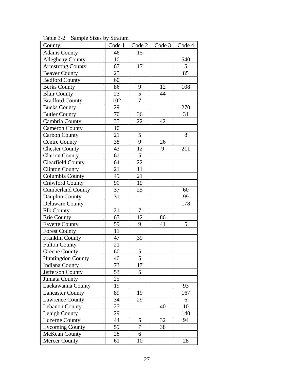| County                   | Code 1 | Code 2         | Code 3 | Code 4 |
|--------------------------|--------|----------------|--------|--------|
| <b>Adams County</b>      | 46     | 15             |        |        |
| Allegheny County         | 10     |                |        | 540    |
| <b>Armstrong County</b>  | 67     | 17             |        | 5      |
| <b>Beaver County</b>     | 25     |                |        | 85     |
| <b>Bedford County</b>    | 60     |                |        |        |
| <b>Berks County</b>      | 86     | 9              | 12     | 108    |
| <b>Blair County</b>      | 23     | $\overline{5}$ | 44     |        |
| <b>Bradford County</b>   | 102    | $\overline{7}$ |        |        |
| <b>Bucks County</b>      | 29     |                |        | 270    |
| <b>Butler County</b>     | 70     | 36             |        | 31     |
| Cambria County           | 35     | 22             | 42     |        |
| <b>Cameron County</b>    | 10     |                |        |        |
| <b>Carbon County</b>     | 21     | 5              |        | 8      |
| <b>Centre County</b>     | 38     | 9              | 26     |        |
| <b>Chester County</b>    | 43     | 12             | 9      | 211    |
| <b>Clarion County</b>    | 61     | $\sqrt{5}$     |        |        |
| <b>Clearfield County</b> | 64     | 22             |        |        |
| <b>Clinton County</b>    | 21     | 11             |        |        |
| Columbia County          | 49     | 21             |        |        |
| <b>Crawford County</b>   | 90     | 19             |        |        |
| <b>Cumberland County</b> | 37     | 25             |        | 60     |
| Dauphin County           | 31     |                |        | 99     |
| Delaware County          |        |                |        | 178    |
| <b>Elk County</b>        | 21     | $\overline{7}$ |        |        |
| <b>Erie County</b>       | 63     | 12             | 86     |        |
| <b>Fayette County</b>    | 59     | 9              | 41     | 5      |
| <b>Forest County</b>     | 11     |                |        |        |
| <b>Franklin County</b>   | 47     | 39             |        |        |
| <b>Fulton County</b>     | 21     |                |        |        |
| <b>Greene County</b>     | 60     | 5              |        |        |
| <b>Huntingdon County</b> | 40     | 5              |        |        |
| Indiana County           | 73     | 17             |        |        |
| Jefferson County         | 53     | 5              |        |        |
| Juniata County           | 25     |                |        |        |
| Lackawanna County        | 19     |                |        | 93     |
| <b>Lancaster County</b>  | 89     | 19             |        | 167    |
| <b>Lawrence County</b>   | 34     | 29             |        | 6      |
| <b>Lebanon County</b>    | 27     |                | 40     | 10     |
| Lehigh County            | 29     |                |        | 140    |
| Luzerne County           | 44     | 5              | 32     | 94     |
| <b>Lycoming County</b>   | 59     | $\overline{7}$ | 38     |        |
| McKean County            | 28     | 6              |        |        |
| <b>Mercer County</b>     | 61     | 10             |        | 28     |

Table 3-2 Sample Sizes by Stratum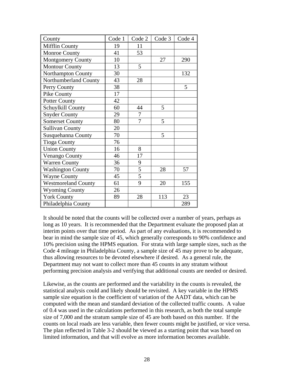| County                     | Code 1 | Code 2         | Code 3 | Code 4 |
|----------------------------|--------|----------------|--------|--------|
| <b>Mifflin County</b>      | 19     | 11             |        |        |
| Monroe County              | 41     | 53             |        |        |
| Montgomery County          | 10     |                | 27     | 290    |
| <b>Montour County</b>      | 13     | 5              |        |        |
| Northampton County         | 30     |                |        | 132    |
| Northumberland County      | 43     | $28\,$         |        |        |
| Perry County               | 38     |                |        | 5      |
| Pike County                | 17     |                |        |        |
| <b>Potter County</b>       | 42     |                |        |        |
| Schuylkill County          | 60     | 44             | 5      |        |
| <b>Snyder County</b>       | 29     | $\overline{7}$ |        |        |
| <b>Somerset County</b>     | 80     | $\overline{7}$ | 5      |        |
| <b>Sullivan County</b>     | 20     |                |        |        |
| Susquehanna County         | 70     |                | 5      |        |
| <b>Tioga County</b>        | 76     |                |        |        |
| <b>Union County</b>        | 16     | 8              |        |        |
| Venango County             | 46     | 17             |        |        |
| <b>Warren County</b>       | 36     | 9              |        |        |
| <b>Washington County</b>   | 70     | $\overline{5}$ | 28     | 57     |
| <b>Wayne County</b>        | 45     | $\overline{5}$ |        |        |
| <b>Westmoreland County</b> | 61     | 9              | 20     | 155    |
| <b>Wyoming County</b>      | 26     |                |        |        |
| <b>York County</b>         | 89     | 28             | 113    | 23     |
| Philadelphia County        |        |                |        | 289    |

It should be noted that the counts will be collected over a number of years, perhaps as long as 10 years. It is recommended that the Department evaluate the proposed plan at interim points over that time period. As part of any evaluations, it is recommended to bear in mind the sample size of 45, which generally corresponds to 90% confidence and 10% precision using the HPMS equation. For strata with large sample sizes, such as the Code 4 mileage in Philadelphia County, a sample size of 45 may prove to be adequate, thus allowing resources to be devoted elsewhere if desired. As a general rule, the Department may not want to collect more than 45 counts in any stratum without performing precision analysis and verifying that additional counts are needed or desired.

Likewise, as the counts are performed and the variability in the counts is revealed, the statistical analysis could and likely should be revisited. A key variable in the HPMS sample size equation is the coefficient of variation of the AADT data, which can be computed with the mean and standard deviation of the collected traffic counts. A value of 0.4 was used in the calculations performed in this research, as both the total sample size of 7,000 and the stratum sample size of 45 are both based on this number. If the counts on local roads are less variable, then fewer counts might be justified, or vice versa. The plan reflected in Table 3-2 should be viewed as a starting point that was based on limited information, and that will evolve as more information becomes available.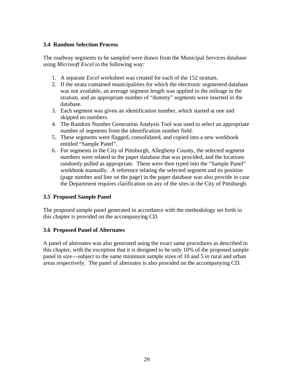# **3.4 Random Selection Process**

The roadway segments to be sampled were drawn from the Municipal Services database using *Microsoft Excel* in the following way:

- 1. A separate *Excel* worksheet was created for each of the 152 stratum.
- 2. If the strata contained municipalities for which the electronic segmented database was not available, an average segment length was applied to the mileage in the stratum, and an appropriate number of "dummy" segments were inserted in the database.
- 3. Each segment was given an identification number, which started at one and skipped no numbers.
- 4. The Random Number Generation Analysis Tool was used to select an appropriate number of segments from the identification number field.
- 5. These segments were flagged, consolidated, and copied into a new workbook entitled "Sample Panel".
- 6. For segments in the City of Pittsburgh, Allegheny County, the selected segment numbers were related to the paper database that was provided, and the locations randomly pulled as appropriate. These were then typed into the "Sample Panel" workbook manually. A reference relating the selected segment and its position (page number and line on the page) in the paper database was also provide in case the Department requires clarification on any of the sites in the City of Pittsburgh.

## **3.5 Proposed Sample Panel**

The proposed sample panel generated in accordance with the methodology set forth in this chapter is provided on the accompanying CD.

## **3.6 Proposed Panel of Alternates**

A panel of alternates was also generated using the exact same procedures as described in this chapter, with the exception that it is designed to be only 10% of the proposed sample panel in size—subject to the same minimum sample sizes of 10 and 5 in rural and urban areas respectively. The panel of alternates is also provided on the accompanying CD.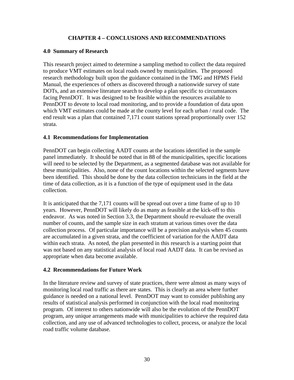## **CHAPTER 4 – CONCLUSIONS AND RECOMMENDATIONS**

#### **4.0 Summary of Research**

This research project aimed to determine a sampling method to collect the data required to produce VMT estimates on local roads owned by municipalities. The proposed research methodology built upon the guidance contained in the TMG and HPMS Field Manual, the experiences of others as discovered through a nationwide survey of state DOTs, and an extensive literature search to develop a plan specific to circumstances facing PennDOT. It was designed to be feasible within the resources available to PennDOT to devote to local road monitoring, and to provide a foundation of data upon which VMT estimates could be made at the county level for each urban / rural code. The end result was a plan that contained 7,171 count stations spread proportionally over 152 strata.

#### **4.1 Recommendations for Implementation**

PennDOT can begin collecting AADT counts at the locations identified in the sample panel immediately. It should be noted that in 88 of the municipalities, specific locations will need to be selected by the Department, as a segmented database was not available for these municipalities. Also, none of the count locations within the selected segments have been identified. This should be done by the data collection technicians in the field at the time of data collection, as it is a function of the type of equipment used in the data collection.

It is anticipated that the 7,171 counts will be spread out over a time frame of up to 10 years. However, PennDOT will likely do as many as feasible at the kick-off to this endeavor. As was noted in Section 3.3, the Department should re-evaluate the overall number of counts, and the sample size in each stratum at various times over the data collection process. Of particular importance will be a precision analysis when 45 counts are accumulated in a given strata, and the coefficient of variation for the AADT data within each strata. As noted, the plan presented in this research is a starting point that was not based on any statistical analysis of local road AADT data. It can be revised as appropriate when data become available.

## **4.2 Recommendations for Future Work**

In the literature review and survey of state practices, there were almost as many ways of monitoring local road traffic as there are states. This is clearly an area where further guidance is needed on a national level. PennDOT may want to consider publishing any results of statistical analysis performed in conjunction with the local road monitoring program. Of interest to others nationwide will also be the evolution of the PennDOT program, any unique arrangements made with municipalities to achieve the required data collection, and any use of advanced technologies to collect, process, or analyze the local road traffic volume database.